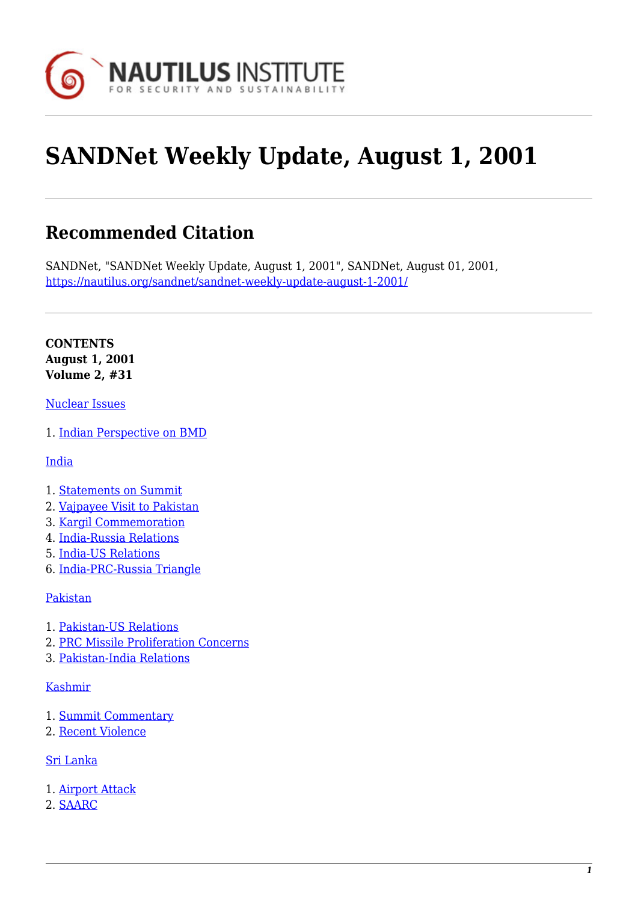

# **SANDNet Weekly Update, August 1, 2001**

# **Recommended Citation**

SANDNet, "SANDNet Weekly Update, August 1, 2001", SANDNet, August 01, 2001, <https://nautilus.org/sandnet/sandnet-weekly-update-august-1-2001/>

**CONTENTS August 1, 2001 Volume 2, #31**

#### [Nuclear Issues](https://nautilus.org/?p=43822&preview=true#nuclear)

1. [Indian Perspective on BMD](https://nautilus.org/?p=43822&preview=true#bmd)

[India](https://nautilus.org/?p=43822&preview=true#india)

- 1. [Statements on Summit](https://nautilus.org/?p=43822&preview=true#summit)
- 2. [Vajpayee Visit to Pakistan](https://nautilus.org/?p=43822&preview=true#vaj)
- 3. [Kargil Commemoration](https://nautilus.org/?p=43822&preview=true#kargil)
- 4. [India-Russia Relations](https://nautilus.org/?p=43822&preview=true#indiaruss)
- 5. [India-US Relations](https://nautilus.org/?p=43822&preview=true#indiaus)
- 6. [India-PRC-Russia Triangle](https://nautilus.org/?p=43822&preview=true#indiatriangle)

#### [Pakistan](https://nautilus.org/?p=43822&preview=true#pakistan)

- 1. [Pakistan-US Relations](https://nautilus.org/?p=43822&preview=true#pakus)
- 2. [PRC Missile Proliferation Concerns](https://nautilus.org/?p=43822&preview=true#prc)
- 3. [Pakistan-India Relations](https://nautilus.org/?p=43822&preview=true#pakindia)

#### [Kashmir](https://nautilus.org/?p=43822&preview=true#kashmir)

- 1. [Summit Commentary](https://nautilus.org/?p=43822&preview=true#summit)
- 2. [Recent Violence](https://nautilus.org/?p=43822&preview=true#violence)

#### [Sri Lanka](https://nautilus.org/?p=43822&preview=true#sri)

- 1. [Airport Attack](https://nautilus.org/?p=43822&preview=true#airport)
- 2. [SAARC](https://nautilus.org/?p=43822&preview=true#saarc)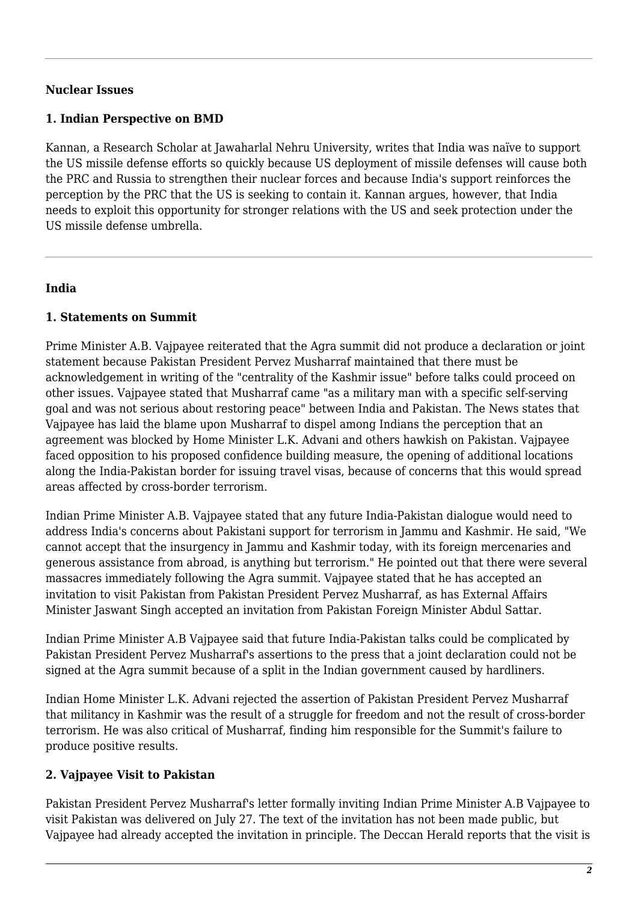#### **Nuclear Issues**

#### **1. Indian Perspective on BMD**

Kannan, a Research Scholar at Jawaharlal Nehru University, writes that India was naïve to support the US missile defense efforts so quickly because US deployment of missile defenses will cause both the PRC and Russia to strengthen their nuclear forces and because India's support reinforces the perception by the PRC that the US is seeking to contain it. Kannan argues, however, that India needs to exploit this opportunity for stronger relations with the US and seek protection under the US missile defense umbrella.

#### **India**

#### **1. Statements on Summit**

Prime Minister A.B. Vajpayee reiterated that the Agra summit did not produce a declaration or joint statement because Pakistan President Pervez Musharraf maintained that there must be acknowledgement in writing of the "centrality of the Kashmir issue" before talks could proceed on other issues. Vajpayee stated that Musharraf came "as a military man with a specific self-serving goal and was not serious about restoring peace" between India and Pakistan. The News states that Vajpayee has laid the blame upon Musharraf to dispel among Indians the perception that an agreement was blocked by Home Minister L.K. Advani and others hawkish on Pakistan. Vajpayee faced opposition to his proposed confidence building measure, the opening of additional locations along the India-Pakistan border for issuing travel visas, because of concerns that this would spread areas affected by cross-border terrorism.

Indian Prime Minister A.B. Vajpayee stated that any future India-Pakistan dialogue would need to address India's concerns about Pakistani support for terrorism in Jammu and Kashmir. He said, "We cannot accept that the insurgency in Jammu and Kashmir today, with its foreign mercenaries and generous assistance from abroad, is anything but terrorism." He pointed out that there were several massacres immediately following the Agra summit. Vajpayee stated that he has accepted an invitation to visit Pakistan from Pakistan President Pervez Musharraf, as has External Affairs Minister Jaswant Singh accepted an invitation from Pakistan Foreign Minister Abdul Sattar.

Indian Prime Minister A.B Vajpayee said that future India-Pakistan talks could be complicated by Pakistan President Pervez Musharraf's assertions to the press that a joint declaration could not be signed at the Agra summit because of a split in the Indian government caused by hardliners.

Indian Home Minister L.K. Advani rejected the assertion of Pakistan President Pervez Musharraf that militancy in Kashmir was the result of a struggle for freedom and not the result of cross-border terrorism. He was also critical of Musharraf, finding him responsible for the Summit's failure to produce positive results.

#### **2. Vajpayee Visit to Pakistan**

Pakistan President Pervez Musharraf's letter formally inviting Indian Prime Minister A.B Vajpayee to visit Pakistan was delivered on July 27. The text of the invitation has not been made public, but Vajpayee had already accepted the invitation in principle. The Deccan Herald reports that the visit is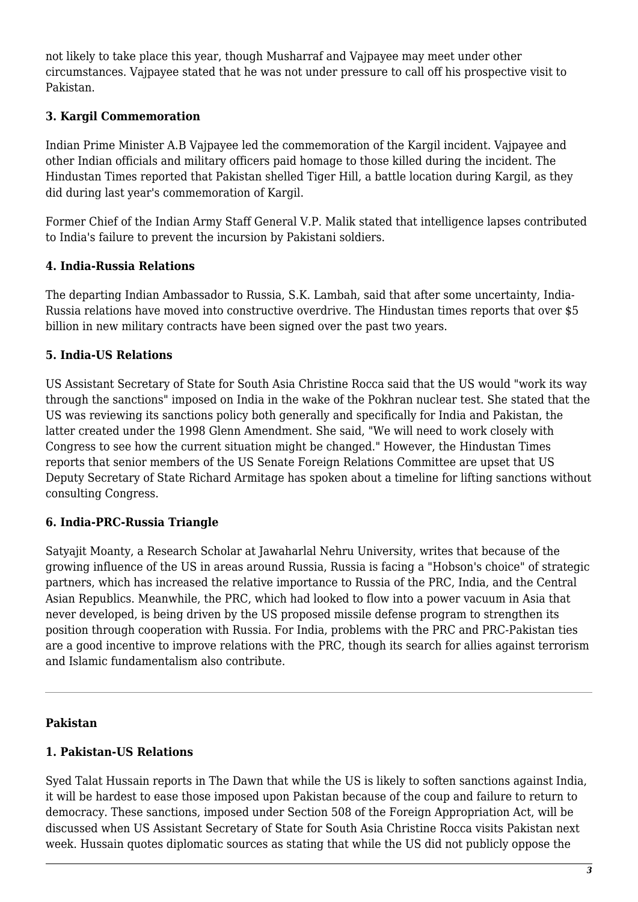not likely to take place this year, though Musharraf and Vajpayee may meet under other circumstances. Vajpayee stated that he was not under pressure to call off his prospective visit to Pakistan.

### **3. Kargil Commemoration**

Indian Prime Minister A.B Vajpayee led the commemoration of the Kargil incident. Vajpayee and other Indian officials and military officers paid homage to those killed during the incident. The Hindustan Times reported that Pakistan shelled Tiger Hill, a battle location during Kargil, as they did during last year's commemoration of Kargil.

Former Chief of the Indian Army Staff General V.P. Malik stated that intelligence lapses contributed to India's failure to prevent the incursion by Pakistani soldiers.

# **4. India-Russia Relations**

The departing Indian Ambassador to Russia, S.K. Lambah, said that after some uncertainty, India-Russia relations have moved into constructive overdrive. The Hindustan times reports that over \$5 billion in new military contracts have been signed over the past two years.

#### **5. India-US Relations**

US Assistant Secretary of State for South Asia Christine Rocca said that the US would "work its way through the sanctions" imposed on India in the wake of the Pokhran nuclear test. She stated that the US was reviewing its sanctions policy both generally and specifically for India and Pakistan, the latter created under the 1998 Glenn Amendment. She said, "We will need to work closely with Congress to see how the current situation might be changed." However, the Hindustan Times reports that senior members of the US Senate Foreign Relations Committee are upset that US Deputy Secretary of State Richard Armitage has spoken about a timeline for lifting sanctions without consulting Congress.

# **6. India-PRC-Russia Triangle**

Satyajit Moanty, a Research Scholar at Jawaharlal Nehru University, writes that because of the growing influence of the US in areas around Russia, Russia is facing a "Hobson's choice" of strategic partners, which has increased the relative importance to Russia of the PRC, India, and the Central Asian Republics. Meanwhile, the PRC, which had looked to flow into a power vacuum in Asia that never developed, is being driven by the US proposed missile defense program to strengthen its position through cooperation with Russia. For India, problems with the PRC and PRC-Pakistan ties are a good incentive to improve relations with the PRC, though its search for allies against terrorism and Islamic fundamentalism also contribute.

#### **Pakistan**

# **1. Pakistan-US Relations**

Syed Talat Hussain reports in The Dawn that while the US is likely to soften sanctions against India, it will be hardest to ease those imposed upon Pakistan because of the coup and failure to return to democracy. These sanctions, imposed under Section 508 of the Foreign Appropriation Act, will be discussed when US Assistant Secretary of State for South Asia Christine Rocca visits Pakistan next week. Hussain quotes diplomatic sources as stating that while the US did not publicly oppose the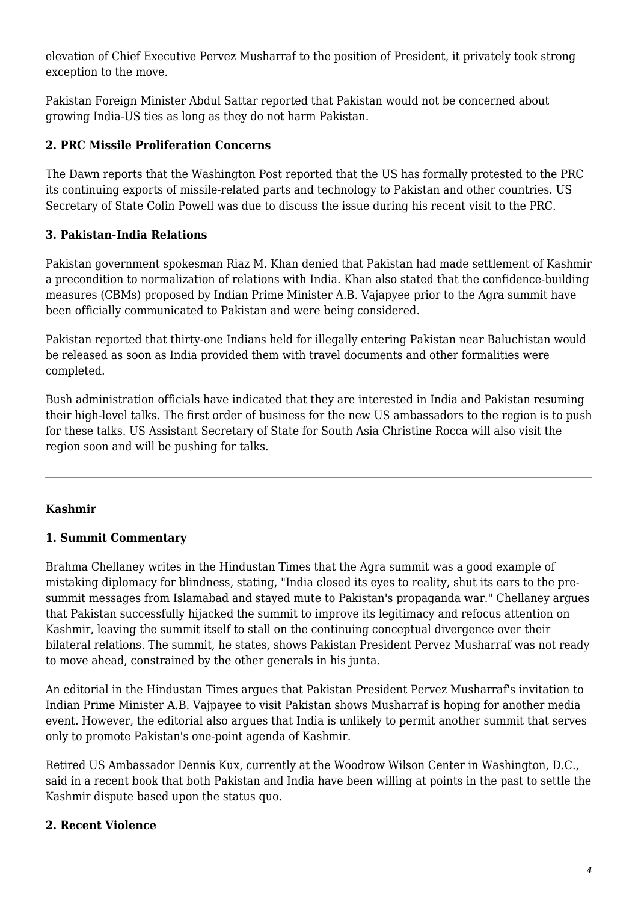elevation of Chief Executive Pervez Musharraf to the position of President, it privately took strong exception to the move.

Pakistan Foreign Minister Abdul Sattar reported that Pakistan would not be concerned about growing India-US ties as long as they do not harm Pakistan.

### **2. PRC Missile Proliferation Concerns**

The Dawn reports that the Washington Post reported that the US has formally protested to the PRC its continuing exports of missile-related parts and technology to Pakistan and other countries. US Secretary of State Colin Powell was due to discuss the issue during his recent visit to the PRC.

# **3. Pakistan-India Relations**

Pakistan government spokesman Riaz M. Khan denied that Pakistan had made settlement of Kashmir a precondition to normalization of relations with India. Khan also stated that the confidence-building measures (CBMs) proposed by Indian Prime Minister A.B. Vajapyee prior to the Agra summit have been officially communicated to Pakistan and were being considered.

Pakistan reported that thirty-one Indians held for illegally entering Pakistan near Baluchistan would be released as soon as India provided them with travel documents and other formalities were completed.

Bush administration officials have indicated that they are interested in India and Pakistan resuming their high-level talks. The first order of business for the new US ambassadors to the region is to push for these talks. US Assistant Secretary of State for South Asia Christine Rocca will also visit the region soon and will be pushing for talks.

# **Kashmir**

#### **1. Summit Commentary**

Brahma Chellaney writes in the Hindustan Times that the Agra summit was a good example of mistaking diplomacy for blindness, stating, "India closed its eyes to reality, shut its ears to the presummit messages from Islamabad and stayed mute to Pakistan's propaganda war." Chellaney argues that Pakistan successfully hijacked the summit to improve its legitimacy and refocus attention on Kashmir, leaving the summit itself to stall on the continuing conceptual divergence over their bilateral relations. The summit, he states, shows Pakistan President Pervez Musharraf was not ready to move ahead, constrained by the other generals in his junta.

An editorial in the Hindustan Times argues that Pakistan President Pervez Musharraf's invitation to Indian Prime Minister A.B. Vajpayee to visit Pakistan shows Musharraf is hoping for another media event. However, the editorial also argues that India is unlikely to permit another summit that serves only to promote Pakistan's one-point agenda of Kashmir.

Retired US Ambassador Dennis Kux, currently at the Woodrow Wilson Center in Washington, D.C., said in a recent book that both Pakistan and India have been willing at points in the past to settle the Kashmir dispute based upon the status quo.

#### **2. Recent Violence**